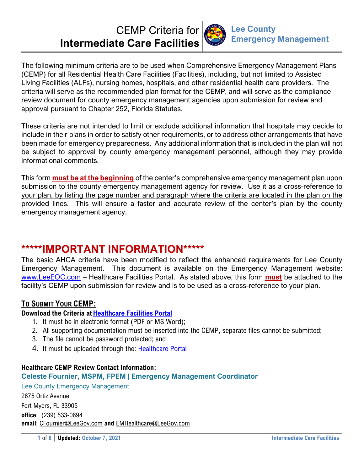# CEMP Criteria for **Intermediate Care Facilities**



The following minimum criteria are to be used when Comprehensive Emergency Management Plans (CEMP) for all Residential Health Care Facilities (Facilities), including, but not limited to Assisted Living Facilities (ALFs), nursing homes, hospitals, and other residential health care providers. The criteria will serve as the recommended plan format for the CEMP, and will serve as the compliance review document for county emergency management agencies upon submission for review and approval pursuant to Chapter 252, Florida Statutes.

These criteria are not intended to limit or exclude additional information that hospitals may decide to include in their plans in order to satisfy other requirements, or to address other arrangements that have been made for emergency preparedness. Any additional information that is included in the plan will not be subject to approval by county emergency management personnel, although they may provide informational comments.

This form **must be at the beginning** of the center's comprehensive emergency management plan upon submission to the county emergency management agency for review. Use it as a cross-reference to your plan, by listing the page number and paragraph where the criteria are located in the plan on the provided lines. This will ensure a faster and accurate review of the center's plan by the county emergency management agency.

## **\*\*\*\*\*IMPORTANT INFORMATION\*\*\*\*\***

The basic AHCA criteria have been modified to reflect the enhanced requirements for Lee County Emergency Management. This document is available on the Emergency Management website: www.LeeEOC.com – Healthcare Facilities Portal. As stated above, this form **must** be attached to the facility's CEMP upon submission for review and is to be used as a cross-reference to your plan.

## **TO SUBMIT YOUR CEMP:**

## **Download the Criteria at Healthcare Facilities Portal**

- 1. It must be in electronic format (PDF or MS Word);
- 2. All supporting documentation must be inserted into the CEMP, separate files cannot be submitted;
- 3. The file cannot be password protected; and
- 4. It must be uploaded through the: Healthcare Portal

### **Healthcare CEMP Review Contact Information:**

### **Celeste Fournier, MSPM, FPEM | Emergency Management Coordinator**

Lee County Emergency Management 2675 Ortiz Avenue Fort Myers, FL 33905 **office**: (239) 533-0694 **email**: CFournier@LeeGov.com **and** EMHealthcare@LeeGov.com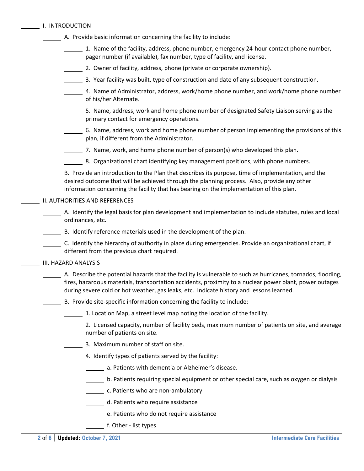|  | I. INTRODUCTION |
|--|-----------------|
|  |                 |

- A. Provide basic information concerning the facility to include:
	- $1.$  Name of the facility, address, phone number, emergency 24-hour contact phone number, pager number (if available), fax number, type of facility, and license.
	- 2. Owner of facility, address, phone (private or corporate ownership).
	- 3. Year facility was built, type of construction and date of any subsequent construction.
	- 4. Name of Administrator, address, work/home phone number, and work/home phone number of his/her Alternate.
	- 5. Name, address, work and home phone number of designated Safety Liaison serving as the primary contact for emergency operations.
	- 6. Name, address, work and home phone number of person implementing the provisions of this plan, if different from the Administrator.
	- $\frac{1}{2}$ . Name, work, and home phone number of person(s) who developed this plan.
	- 8. Organizational chart identifying key management positions, with phone numbers.
- B. Provide an introduction to the Plan that describes its purpose, time of implementation, and the desired outcome that will be achieved through the planning process. Also, provide any other information concerning the facility that has bearing on the implementation of this plan.

#### II. AUTHORITIES AND REFERENCES

- $\Box$  A. Identify the legal basis for plan development and implementation to include statutes, rules and local ordinances, etc.
- B. Identify reference materials used in the development of the plan.
- C. Identify the hierarchy of authority in place during emergencies. Provide an organizational chart, if different from the previous chart required.

#### III. HAZARD ANALYSIS

- A. Describe the potential hazards that the facility is vulnerable to such as hurricanes, tornados, flooding, fires, hazardous materials, transportation accidents, proximity to a nuclear power plant, power outages during severe cold or hot weather, gas leaks, etc. Indicate history and lessons learned.
- B. Provide site‐specific information concerning the facility to include:
	- 1. Location Map, a street level map noting the location of the facility.
	- 2. Licensed capacity, number of facility beds, maximum number of patients on site, and average number of patients on site.
	- 3. Maximum number of staff on site.
	- 4. Identify types of patients served by the facility:
		- **LETTE:** a. Patients with dementia or Alzheimer's disease.
		- b. Patients requiring special equipment or other special care, such as oxygen or dialysis
		- **c.** Patients who are non-ambulatory
		- d. Patients who require assistance
		- e. Patients who do not require assistance
		- f. Other list types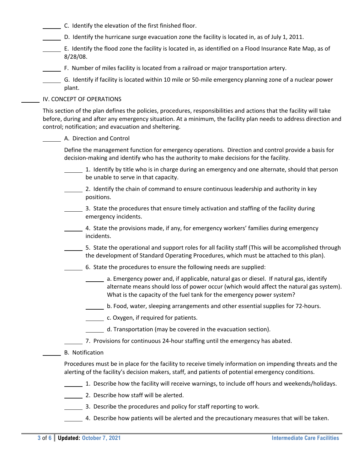- C. Identify the elevation of the first finished floor.
- D. Identify the hurricane surge evacuation zone the facility is located in, as of July 1, 2011.
- E. Identify the flood zone the facility is located in, as identified on a Flood Insurance Rate Map, as of 8/28/08.
- F. Number of miles facility is located from a railroad or major transportation artery.

 G. Identify if facility is located within 10 mile or 50‐mile emergency planning zone of a nuclear power plant.

#### IV. CONCEPT OF OPERATIONS

This section of the plan defines the policies, procedures, responsibilities and actions that the facility will take before, during and after any emergency situation. At a minimum, the facility plan needs to address direction and control; notification; and evacuation and sheltering.

#### A. Direction and Control

Define the management function for emergency operations. Direction and control provide a basis for decision‐making and identify who has the authority to make decisions for the facility.

- 1. Identify by title who is in charge during an emergency and one alternate, should that person be unable to serve in that capacity.
- 2. Identify the chain of command to ensure continuous leadership and authority in key positions.
- 3. State the procedures that ensure timely activation and staffing of the facility during emergency incidents.
- 4. State the provisions made, if any, for emergency workers' families during emergency incidents.
- 5. State the operational and support roles for all facility staff (This will be accomplished through the development of Standard Operating Procedures, which must be attached to this plan).
- 6. State the procedures to ensure the following needs are supplied:
	- **1202** a. Emergency power and, if applicable, natural gas or diesel. If natural gas, identify alternate means should loss of power occur (which would affect the natural gas system). What is the capacity of the fuel tank for the emergency power system?
	- b. Food, water, sleeping arrangements and other essential supplies for 72‐hours.
	- c. Oxygen, if required for patients.
	- d. Transportation (may be covered in the evacuation section).
- 7. Provisions for continuous 24-hour staffing until the emergency has abated.
- B. Notification

Procedures must be in place for the facility to receive timely information on impending threats and the alerting of the facility's decision makers, staff, and patients of potential emergency conditions.

- 1. Describe how the facility will receive warnings, to include off hours and weekends/holidays.
- 2. Describe how staff will be alerted.
- 3. Describe the procedures and policy for staff reporting to work.
- 4. Describe how patients will be alerted and the precautionary measures that will be taken.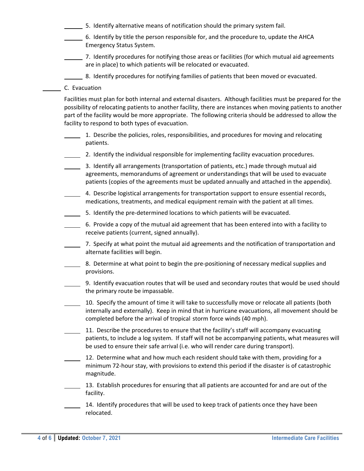- 5. Identify alternative means of notification should the primary system fail.
- 6. Identify by title the person responsible for, and the procedure to, update the AHCA Emergency Status System.
- 7. Identify procedures for notifying those areas or facilities (for which mutual aid agreements are in place) to which patients will be relocated or evacuated.
- 8. Identify procedures for notifying families of patients that been moved or evacuated.
- C. Evacuation

Facilities must plan for both internal and external disasters. Although facilities must be prepared for the possibility of relocating patients to another facility, there are instances when moving patients to another part of the facility would be more appropriate. The following criteria should be addressed to allow the facility to respond to both types of evacuation.

- 1. Describe the policies, roles, responsibilities, and procedures for moving and relocating patients.
- 2. Identify the individual responsible for implementing facility evacuation procedures.
- 3. Identify all arrangements (transportation of patients, etc.) made through mutual aid agreements, memorandums of agreement or understandings that will be used to evacuate patients (copies of the agreements must be updated annually and attached in the appendix).
	- 4. Describe logistical arrangements for transportation support to ensure essential records, medications, treatments, and medical equipment remain with the patient at all times.
	- 5. Identify the pre‐determined locations to which patients will be evacuated.
- 6. Provide a copy of the mutual aid agreement that has been entered into with a facility to receive patients (current, signed annually).
- 7. Specify at what point the mutual aid agreements and the notification of transportation and alternate facilities will begin.
- 8. Determine at what point to begin the pre-positioning of necessary medical supplies and provisions.
- 9. Identify evacuation routes that will be used and secondary routes that would be used should the primary route be impassable.
- 10. Specify the amount of time it will take to successfully move or relocate all patients (both internally and externally). Keep in mind that in hurricane evacuations, all movement should be completed before the arrival of tropical storm force winds (40 mph).
- 11. Describe the procedures to ensure that the facility's staff will accompany evacuating patients, to include a log system. If staff will not be accompanying patients, what measures will be used to ensure their safe arrival (i.e. who will render care during transport).
- 12. Determine what and how much each resident should take with them, providing for a minimum 72‐hour stay, with provisions to extend this period if the disaster is of catastrophic magnitude.
- 13. Establish procedures for ensuring that all patients are accounted for and are out of the facility.
- 14. Identify procedures that will be used to keep track of patients once they have been relocated.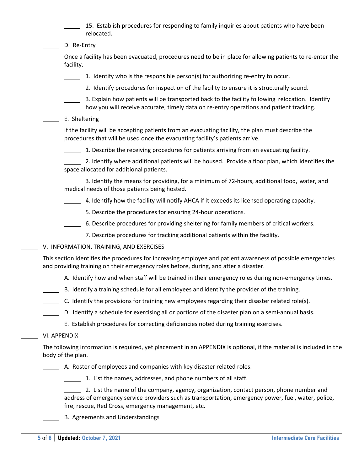15. Establish procedures for responding to family inquiries about patients who have been relocated.

D. Re-Entry

Once a facility has been evacuated, procedures need to be in place for allowing patients to re‐enter the facility.

- 1. Identify who is the responsible person(s) for authorizing re‐entry to occur.
- 2. Identify procedures for inspection of the facility to ensure it is structurally sound.
- 3. Explain how patients will be transported back to the facility following relocation. Identify how you will receive accurate, timely data on re-entry operations and patient tracking.
- E. Sheltering

If the facility will be accepting patients from an evacuating facility, the plan must describe the procedures that will be used once the evacuating facility's patients arrive.

 $\frac{1}{\sqrt{1-\frac{1}{\sqrt{1-\frac{1}{\sqrt{1-\frac{1}{\sqrt{1-\frac{1}{\sqrt{1-\frac{1}{\sqrt{1-\frac{1}{\sqrt{1-\frac{1}{\sqrt{1-\frac{1}{\sqrt{1-\frac{1}{\sqrt{1-\frac{1}{\sqrt{1-\frac{1}{\sqrt{1-\frac{1}{\sqrt{1-\frac{1}{\sqrt{1-\frac{1}{\sqrt{1-\frac{1}{\sqrt{1-\frac{1}{\sqrt{1-\frac{1}{\sqrt{1-\frac{1}{\sqrt{1-\frac{1}{\sqrt{1-\frac{1}{\sqrt{1-\frac{1}{\sqrt{1-\frac{1}{\sqrt{1-\frac{1}{\sqrt{1-\frac{1$ 

 2. Identify where additional patients will be housed. Provide a floor plan, which identifies the space allocated for additional patients.

 3. Identify the means for providing, for a minimum of 72‐hours, additional food, water, and medical needs of those patients being hosted.

- 4. Identify how the facility will notify AHCA if it exceeds its licensed operating capacity.
- 5. Describe the procedures for ensuring 24-hour operations.
- 6. Describe procedures for providing sheltering for family members of critical workers.
- 7. Describe procedures for tracking additional patients within the facility.
- V. INFORMATION, TRAINING, AND EXERCISES

This section identifies the procedures for increasing employee and patient awareness of possible emergencies and providing training on their emergency roles before, during, and after a disaster.

A. Identify how and when staff will be trained in their emergency roles during non-emergency times.

- B. Identify a training schedule for all employees and identify the provider of the training.
- C. Identify the provisions for training new employees regarding their disaster related role(s).
- D. Identify a schedule for exercising all or portions of the disaster plan on a semi‐annual basis.
- E. Establish procedures for correcting deficiencies noted during training exercises.

#### VI. APPENDIX

The following information is required, yet placement in an APPENDIX is optional, if the material is included in the body of the plan.

A. Roster of employees and companies with key disaster related roles.

1. List the names, addresses, and phone numbers of all staff.

 2. List the name of the company, agency, organization, contact person, phone number and address of emergency service providers such as transportation, emergency power, fuel, water, police, fire, rescue, Red Cross, emergency management, etc.

B. Agreements and Understandings